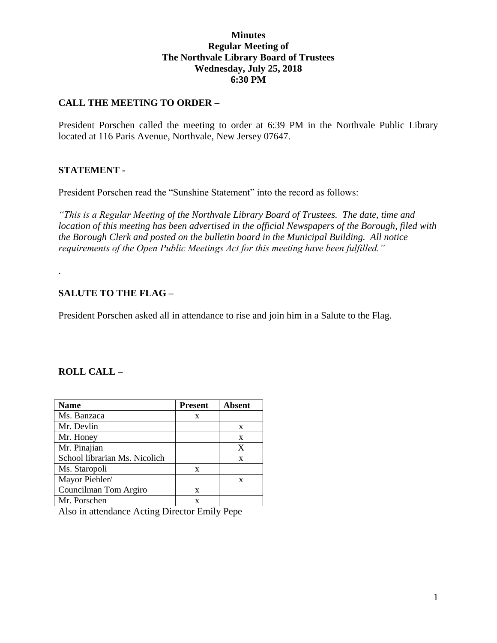#### **Minutes Regular Meeting of The Northvale Library Board of Trustees Wednesday, July 25, 2018 6:30 PM**

#### **CALL THE MEETING TO ORDER –**

President Porschen called the meeting to order at 6:39 PM in the Northvale Public Library located at 116 Paris Avenue, Northvale, New Jersey 07647.

#### **STATEMENT -**

President Porschen read the "Sunshine Statement" into the record as follows:

*"This is a Regular Meeting of the Northvale Library Board of Trustees. The date, time and location of this meeting has been advertised in the official Newspapers of the Borough, filed with the Borough Clerk and posted on the bulletin board in the Municipal Building. All notice requirements of the Open Public Meetings Act for this meeting have been fulfilled."* 

## **SALUTE TO THE FLAG –**

President Porschen asked all in attendance to rise and join him in a Salute to the Flag.

#### **ROLL CALL –**

.

| <b>Name</b>                   | <b>Present</b> | <b>Absent</b> |
|-------------------------------|----------------|---------------|
| Ms. Banzaca                   | X              |               |
| Mr. Devlin                    |                | X             |
| Mr. Honey                     |                | X             |
| Mr. Pinajian                  |                | X             |
| School librarian Ms. Nicolich |                | X             |
| Ms. Staropoli                 | X              |               |
| Mayor Piehler/                |                | X             |
| Councilman Tom Argiro         | X              |               |
| Mr. Porschen                  |                |               |

Also in attendance Acting Director Emily Pepe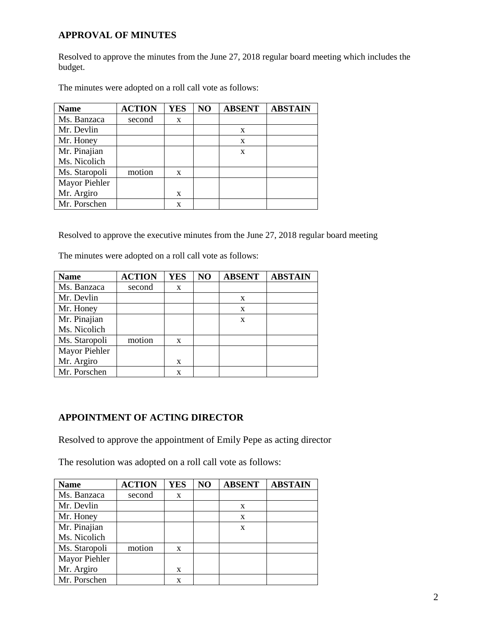## **APPROVAL OF MINUTES**

Resolved to approve the minutes from the June 27, 2018 regular board meeting which includes the budget.

| <b>Name</b>   | <b>ACTION</b> | <b>YES</b> | NO | <b>ABSENT</b> | <b>ABSTAIN</b> |
|---------------|---------------|------------|----|---------------|----------------|
| Ms. Banzaca   | second        | X          |    |               |                |
| Mr. Devlin    |               |            |    | X             |                |
| Mr. Honey     |               |            |    | X             |                |
| Mr. Pinajian  |               |            |    | X             |                |
| Ms. Nicolich  |               |            |    |               |                |
| Ms. Staropoli | motion        | X          |    |               |                |
| Mayor Piehler |               |            |    |               |                |
| Mr. Argiro    |               | X          |    |               |                |
| Mr. Porschen  |               | X          |    |               |                |

The minutes were adopted on a roll call vote as follows:

Resolved to approve the executive minutes from the June 27, 2018 regular board meeting

| <b>Name</b>   | <b>ACTION</b> | <b>YES</b> | N <sub>O</sub> | <b>ABSENT</b> | <b>ABSTAIN</b> |
|---------------|---------------|------------|----------------|---------------|----------------|
| Ms. Banzaca   | second        | X          |                |               |                |
| Mr. Devlin    |               |            |                | X             |                |
| Mr. Honey     |               |            |                | X             |                |
| Mr. Pinajian  |               |            |                | X             |                |
| Ms. Nicolich  |               |            |                |               |                |
| Ms. Staropoli | motion        | X          |                |               |                |
| Mayor Piehler |               |            |                |               |                |
| Mr. Argiro    |               | x          |                |               |                |

The minutes were adopted on a roll call vote as follows:

## **APPOINTMENT OF ACTING DIRECTOR**

Mr. Porschen x

Resolved to approve the appointment of Emily Pepe as acting director

The resolution was adopted on a roll call vote as follows:

| <b>Name</b>   | <b>ACTION</b> | <b>YES</b> | NO | <b>ABSENT</b> | <b>ABSTAIN</b> |
|---------------|---------------|------------|----|---------------|----------------|
| Ms. Banzaca   | second        | X          |    |               |                |
| Mr. Devlin    |               |            |    | X             |                |
| Mr. Honey     |               |            |    | X             |                |
| Mr. Pinajian  |               |            |    | X             |                |
| Ms. Nicolich  |               |            |    |               |                |
| Ms. Staropoli | motion        | X          |    |               |                |
| Mayor Piehler |               |            |    |               |                |
| Mr. Argiro    |               | X          |    |               |                |
| Mr. Porschen  |               | x          |    |               |                |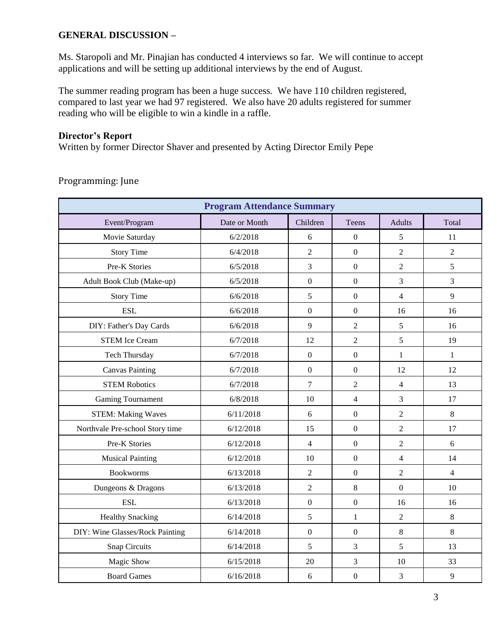## **GENERAL DISCUSSION –**

Ms. Staropoli and Mr. Pinajian has conducted 4 interviews so far. We will continue to accept applications and will be setting up additional interviews by the end of August.

The summer reading program has been a huge success. We have 110 children registered, compared to last year we had 97 registered. We also have 20 adults registered for summer reading who will be eligible to win a kindle in a raffle.

#### **Director's Report**

Written by former Director Shaver and presented by Acting Director Emily Pepe

| <b>Program Attendance Summary</b>                                             |           |                  |                          |                |                |  |  |  |
|-------------------------------------------------------------------------------|-----------|------------------|--------------------------|----------------|----------------|--|--|--|
| Date or Month<br>Children<br><b>Adults</b><br>Event/Program<br>Teens<br>Total |           |                  |                          |                |                |  |  |  |
| Movie Saturday                                                                | 6/2/2018  | 6                | $\mathbf{0}$             | 5              | 11             |  |  |  |
| <b>Story Time</b>                                                             | 6/4/2018  | $\mathfrak{2}$   | $\overline{0}$           | $\overline{2}$ | $\overline{2}$ |  |  |  |
| Pre-K Stories                                                                 | 6/5/2018  | 3                | $\boldsymbol{0}$         | $\overline{2}$ | 5              |  |  |  |
| Adult Book Club (Make-up)                                                     | 6/5/2018  | $\boldsymbol{0}$ | $\boldsymbol{0}$         | 3              | 3              |  |  |  |
| <b>Story Time</b>                                                             | 6/6/2018  | 5                | $\overline{0}$           | $\overline{4}$ | 9              |  |  |  |
| <b>ESL</b>                                                                    | 6/6/2018  | $\boldsymbol{0}$ | $\boldsymbol{0}$         | 16             | 16             |  |  |  |
| DIY: Father's Day Cards                                                       | 6/6/2018  | 9                | $\overline{2}$           | 5              | 16             |  |  |  |
| <b>STEM Ice Cream</b>                                                         | 6/7/2018  | 12               | $\overline{2}$           | 5              | 19             |  |  |  |
| Tech Thursday                                                                 | 6/7/2018  | $\boldsymbol{0}$ | $\boldsymbol{0}$         | $\mathbf{1}$   | $\mathbf{1}$   |  |  |  |
| <b>Canvas Painting</b>                                                        | 6/7/2018  | $\boldsymbol{0}$ | $\boldsymbol{0}$         | 12             | 12             |  |  |  |
| <b>STEM Robotics</b>                                                          | 6/7/2018  | $\overline{7}$   | $\overline{2}$           | $\overline{4}$ | 13             |  |  |  |
| <b>Gaming Tournament</b>                                                      | 6/8/2018  | 10               | $\overline{\mathcal{L}}$ | 3              | 17             |  |  |  |
| <b>STEM: Making Waves</b>                                                     | 6/11/2018 | 6                | $\boldsymbol{0}$         | $\overline{2}$ | 8              |  |  |  |
| Northvale Pre-school Story time                                               | 6/12/2018 | 15               | $\overline{0}$           | $\overline{2}$ | 17             |  |  |  |
| Pre-K Stories                                                                 | 6/12/2018 | $\overline{4}$   | $\overline{0}$           | $\overline{2}$ | 6              |  |  |  |
| <b>Musical Painting</b>                                                       | 6/12/2018 | 10               | $\boldsymbol{0}$         | 4              | 14             |  |  |  |
| <b>Bookworms</b>                                                              | 6/13/2018 | $\overline{2}$   | $\boldsymbol{0}$         | $\overline{c}$ | $\overline{4}$ |  |  |  |
| Dungeons & Dragons                                                            | 6/13/2018 | $\overline{2}$   | 8                        | $\overline{0}$ | 10             |  |  |  |
| <b>ESL</b>                                                                    | 6/13/2018 | $\boldsymbol{0}$ | $\boldsymbol{0}$         | 16             | 16             |  |  |  |
| <b>Healthy Snacking</b>                                                       | 6/14/2018 | 5                | $\mathbf{1}$             | $\overline{2}$ | 8              |  |  |  |
| DIY: Wine Glasses/Rock Painting                                               | 6/14/2018 | $\boldsymbol{0}$ | $\boldsymbol{0}$         | 8              | 8              |  |  |  |
| <b>Snap Circuits</b>                                                          | 6/14/2018 | 5                | 3                        | 5              | 13             |  |  |  |
| Magic Show                                                                    | 6/15/2018 | 20               | 3                        | 10             | 33             |  |  |  |
| <b>Board Games</b>                                                            | 6/16/2018 | 6                | $\boldsymbol{0}$         | 3              | $\overline{9}$ |  |  |  |

Programming: June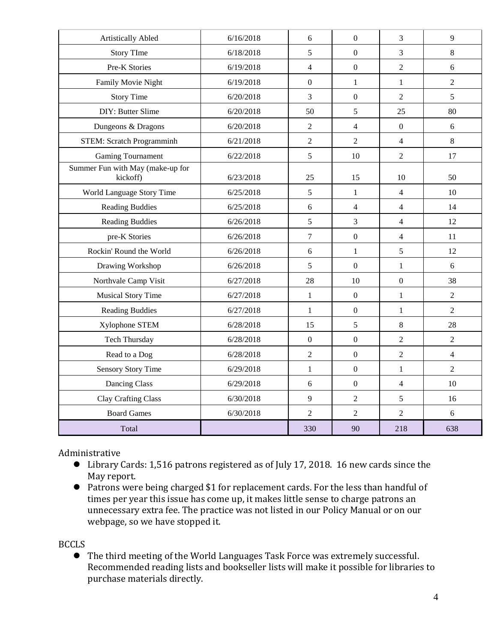| <b>Artistically Abled</b>                    | 6/16/2018 | 6              | $\mathbf{0}$     | 3                | 9              |
|----------------------------------------------|-----------|----------------|------------------|------------------|----------------|
| <b>Story TIme</b>                            | 6/18/2018 | 5              | $\boldsymbol{0}$ | 3                | 8              |
| Pre-K Stories                                | 6/19/2018 | $\overline{4}$ | $\overline{0}$   | $\overline{2}$   | 6              |
| Family Movie Night                           | 6/19/2018 | $\mathbf{0}$   | $\mathbf{1}$     | $\mathbf{1}$     | $\overline{2}$ |
| <b>Story Time</b>                            | 6/20/2018 | 3              | $\boldsymbol{0}$ | $\overline{2}$   | 5              |
| DIY: Butter Slime                            | 6/20/2018 | 50             | 5                | 25               | 80             |
| Dungeons & Dragons                           | 6/20/2018 | $\overline{2}$ | $\overline{4}$   | $\boldsymbol{0}$ | 6              |
| STEM: Scratch Programminh                    | 6/21/2018 | $\sqrt{2}$     | $\overline{2}$   | 4                | $8\,$          |
| Gaming Tournament                            | 6/22/2018 | 5              | 10               | $\overline{2}$   | 17             |
| Summer Fun with May (make-up for<br>kickoff) | 6/23/2018 | 25             | 15               | 10               | 50             |
| World Language Story Time                    | 6/25/2018 | 5              | $\mathbf{1}$     | $\overline{4}$   | 10             |
| <b>Reading Buddies</b>                       | 6/25/2018 | 6              | $\overline{4}$   | $\overline{4}$   | 14             |
| <b>Reading Buddies</b>                       | 6/26/2018 | 5              | 3                | $\overline{4}$   | 12             |
| pre-K Stories                                | 6/26/2018 | $\tau$         | $\boldsymbol{0}$ | 4                | 11             |
| Rockin' Round the World                      | 6/26/2018 | 6              | $\mathbf{1}$     | 5                | 12             |
| Drawing Workshop                             | 6/26/2018 | 5              | $\overline{0}$   | $\mathbf{1}$     | 6              |
| Northvale Camp Visit                         | 6/27/2018 | 28             | 10               | $\boldsymbol{0}$ | 38             |
| <b>Musical Story Time</b>                    | 6/27/2018 | $\mathbf{1}$   | $\overline{0}$   | $\mathbf{1}$     | $\overline{2}$ |
| <b>Reading Buddies</b>                       | 6/27/2018 | $\mathbf{1}$   | $\boldsymbol{0}$ | $\mathbf{1}$     | $\overline{2}$ |
| Xylophone STEM                               | 6/28/2018 | 15             | 5                | $8\,$            | 28             |
| Tech Thursday                                | 6/28/2018 | $\mathbf{0}$   | $\overline{0}$   | $\overline{2}$   | $\overline{2}$ |
| Read to a Dog                                | 6/28/2018 | $\overline{2}$ | $\overline{0}$   | $\overline{2}$   | $\overline{4}$ |
| <b>Sensory Story Time</b>                    | 6/29/2018 | $\mathbf{1}$   | $\boldsymbol{0}$ | $\mathbf{1}$     | $\overline{2}$ |
| Dancing Class                                | 6/29/2018 | 6              | $\overline{0}$   | 4                | 10             |
| <b>Clay Crafting Class</b>                   | 6/30/2018 | 9              | $\overline{2}$   | 5                | 16             |
| <b>Board Games</b>                           | 6/30/2018 | $\overline{2}$ | $\overline{2}$   | $\overline{2}$   | 6              |
| Total                                        |           | 330            | 90               | 218              | 638            |

Administrative

- Library Cards: 1,516 patrons registered as of July 17, 2018. 16 new cards since the May report.
- Patrons were being charged \$1 for replacement cards. For the less than handful of times per year this issue has come up, it makes little sense to charge patrons an unnecessary extra fee. The practice was not listed in our Policy Manual or on our webpage, so we have stopped it.

BCCLS

 The third meeting of the World Languages Task Force was extremely successful. Recommended reading lists and bookseller lists will make it possible for libraries to purchase materials directly.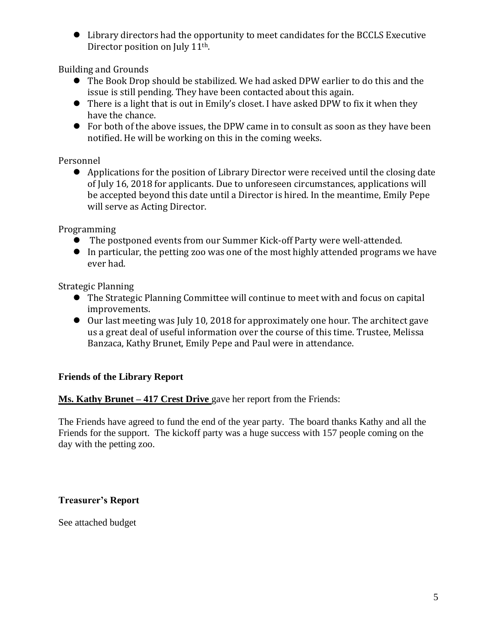Library directors had the opportunity to meet candidates for the BCCLS Executive Director position on July 11<sup>th</sup>.

Building and Grounds

- The Book Drop should be stabilized. We had asked DPW earlier to do this and the issue is still pending. They have been contacted about this again.
- There is a light that is out in Emily's closet. I have asked DPW to fix it when they have the chance.
- For both of the above issues, the DPW came in to consult as soon as they have been notified. He will be working on this in the coming weeks.

Personnel

 Applications for the position of Library Director were received until the closing date of July 16, 2018 for applicants. Due to unforeseen circumstances, applications will be accepted beyond this date until a Director is hired. In the meantime, Emily Pepe will serve as Acting Director.

Programming

- The postponed events from our Summer Kick-off Party were well-attended.
- In particular, the petting zoo was one of the most highly attended programs we have ever had.

Strategic Planning

- The Strategic Planning Committee will continue to meet with and focus on capital improvements.
- $\bullet$  Our last meeting was July 10, 2018 for approximately one hour. The architect gave us a great deal of useful information over the course of this time. Trustee, Melissa Banzaca, Kathy Brunet, Emily Pepe and Paul were in attendance.

# **Friends of the Library Report**

**Ms. Kathy Brunet – 417 Crest Drive** gave her report from the Friends:

The Friends have agreed to fund the end of the year party. The board thanks Kathy and all the Friends for the support. The kickoff party was a huge success with 157 people coming on the day with the petting zoo.

**Treasurer's Report**

See attached budget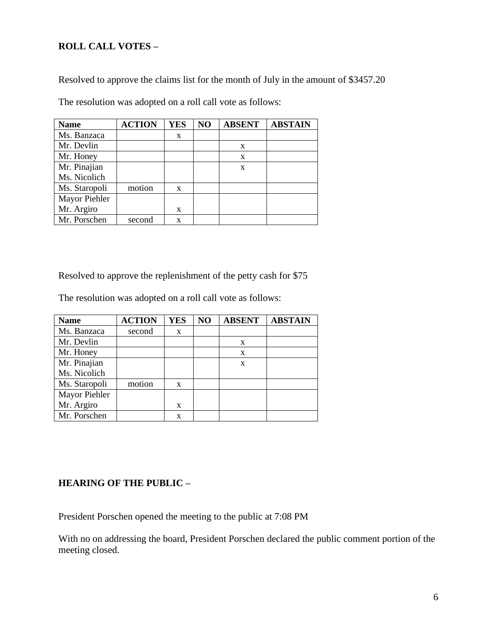## **ROLL CALL VOTES –**

Resolved to approve the claims list for the month of July in the amount of \$3457.20

The resolution was adopted on a roll call vote as follows:

| <b>Name</b>   | <b>ACTION</b> | <b>YES</b> | NO | <b>ABSENT</b> | <b>ABSTAIN</b> |
|---------------|---------------|------------|----|---------------|----------------|
| Ms. Banzaca   |               | X          |    |               |                |
| Mr. Devlin    |               |            |    | X             |                |
| Mr. Honey     |               |            |    | $\mathbf{x}$  |                |
| Mr. Pinajian  |               |            |    | X             |                |
| Ms. Nicolich  |               |            |    |               |                |
| Ms. Staropoli | motion        | X          |    |               |                |
| Mayor Piehler |               |            |    |               |                |
| Mr. Argiro    |               | X          |    |               |                |
| Mr. Porschen  | second        | X          |    |               |                |

Resolved to approve the replenishment of the petty cash for \$75

The resolution was adopted on a roll call vote as follows:

| <b>Name</b>   | <b>ACTION</b> | <b>YES</b> | NO | <b>ABSENT</b> | <b>ABSTAIN</b> |
|---------------|---------------|------------|----|---------------|----------------|
| Ms. Banzaca   | second        | X          |    |               |                |
| Mr. Devlin    |               |            |    | X             |                |
| Mr. Honey     |               |            |    | X             |                |
| Mr. Pinajian  |               |            |    | X             |                |
| Ms. Nicolich  |               |            |    |               |                |
| Ms. Staropoli | motion        | X          |    |               |                |
| Mayor Piehler |               |            |    |               |                |
| Mr. Argiro    |               | X          |    |               |                |
| Mr. Porschen  |               | X          |    |               |                |

#### **HEARING OF THE PUBLIC –**

President Porschen opened the meeting to the public at 7:08 PM

With no on addressing the board, President Porschen declared the public comment portion of the meeting closed.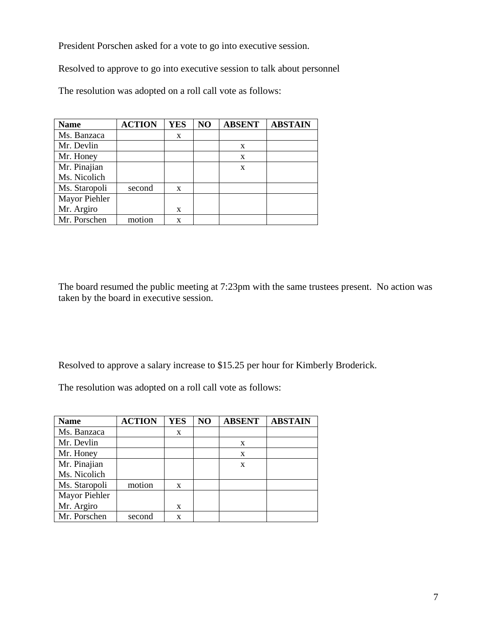President Porschen asked for a vote to go into executive session.

Resolved to approve to go into executive session to talk about personnel

The resolution was adopted on a roll call vote as follows:

| <b>Name</b>   | <b>ACTION</b> | <b>YES</b> | NO | <b>ABSENT</b> | <b>ABSTAIN</b> |
|---------------|---------------|------------|----|---------------|----------------|
| Ms. Banzaca   |               | X          |    |               |                |
| Mr. Devlin    |               |            |    | X             |                |
| Mr. Honey     |               |            |    | X             |                |
| Mr. Pinajian  |               |            |    | X             |                |
| Ms. Nicolich  |               |            |    |               |                |
| Ms. Staropoli | second        | X          |    |               |                |
| Mayor Piehler |               |            |    |               |                |
| Mr. Argiro    |               | X          |    |               |                |
| Mr. Porschen  | motion        | X          |    |               |                |

The board resumed the public meeting at 7:23pm with the same trustees present. No action was taken by the board in executive session.

Resolved to approve a salary increase to \$15.25 per hour for Kimberly Broderick.

The resolution was adopted on a roll call vote as follows:

| <b>Name</b>   | <b>ACTION</b> | <b>YES</b> | NO | <b>ABSENT</b> | <b>ABSTAIN</b> |
|---------------|---------------|------------|----|---------------|----------------|
| Ms. Banzaca   |               | X          |    |               |                |
| Mr. Devlin    |               |            |    | X             |                |
| Mr. Honey     |               |            |    | X             |                |
| Mr. Pinajian  |               |            |    | X             |                |
| Ms. Nicolich  |               |            |    |               |                |
| Ms. Staropoli | motion        | X          |    |               |                |
| Mayor Piehler |               |            |    |               |                |
| Mr. Argiro    |               | X          |    |               |                |
| Mr. Porschen  | second        | X          |    |               |                |